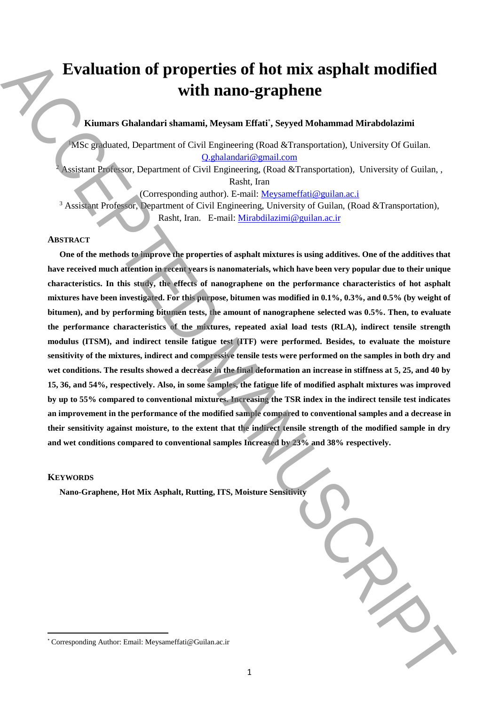# **Evaluation of properties of hot mix asphalt modified with nano-graphene**

**Kiumars Ghalandari shamami, Meysam Effati**\* **, Seyyed Mohammad Mirabdolazimi** 

<sup>1</sup>MSc graduated, Department of Civil Engineering (Road &Transportation), University Of Guilan. Q.ghalandari@gmail.com

<sup>2</sup> Assistant Professor, Department of Civil Engineering, (Road &Transportation), University of Guilan, , Rasht, Iran

(Corresponding author). E-mail: Meysameffati@guilan.ac.i

<sup>3</sup> Assistant Professor, Department of Civil Engineering, University of Guilan, (Road &Transportation), Rasht, Iran. E-mail: Mirabdilazimi@guilan.ac.ir

### **ABSTRACT**

**One of the methods to improve the properties of asphalt mixtures is using additives. One of the additives that have received much attention in recent years is nanomaterials, which have been very popular due to their unique characteristics. In this study, the effects of nanographene on the performance characteristics of hot asphalt mixtures have been investigated. For this purpose, bitumen was modified in 0.1%, 0.3%, and 0.5% (by weight of bitumen), and by performing bitumen tests, the amount of nanographene selected was 0.5%. Then, to evaluate the performance characteristics of the mixtures, repeated axial load tests (RLA), indirect tensile strength modulus (ITSM), and indirect tensile fatigue test (ITF) were performed. Besides, to evaluate the moisture sensitivity of the mixtures, indirect and compressive tensile tests were performed on the samples in both dry and wet conditions. The results showed a decrease in the final deformation an increase in stiffness at 5, 25, and 40 by 15, 36, and 54%, respectively. Also, in some samples, the fatigue life of modified asphalt mixtures was improved by up to 55% compared to conventional mixtures. Increasing the TSR index in the indirect tensile test indicates an improvement in the performance of the modified sample compared to conventional samples and a decrease in their sensitivity against moisture, to the extent that the indirect tensile strength of the modified sample in dry and wet conditions compared to conventional samples Increased by 23% and 38% respectively. Example Author:** Continuent Museum and Meysame. The example and the example of the corresponding Author: Email: Meysame. Although Corresponding Author: Corresponding Author: Corresponding Author: Corresponding Author: Co

#### **KEYWORDS**

 $\overline{a}$ 

**Nano-Graphene, Hot Mix Asphalt, Rutting, ITS, Moisture Sensitivity**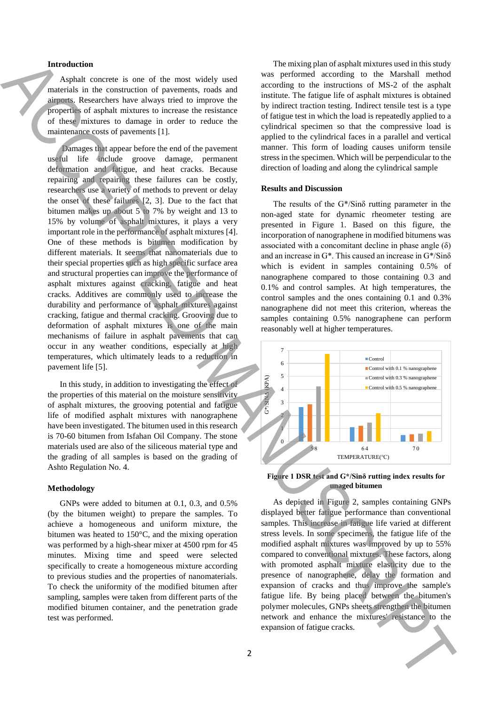## **Introduction**

Asphalt concrete is one of the most widely used materials in the construction of pavements, roads and airports. Researchers have always tried to improve the properties of asphalt mixtures to increase the resistance of these mixtures to damage in order to reduce the maintenance costs of pavements [1].

Damages that appear before the end of the pavement useful life include groove damage, permanent deformation and fatigue, and heat cracks. Because repairing and repairing these failures can be costly, researchers use a variety of methods to prevent or delay the onset of these failures [2, 3]. Due to the fact that bitumen makes up about 5 to 7% by weight and 13 to 15% by volume of asphalt mixtures, it plays a very important role in the performance of asphalt mixtures [4]. One of these methods is bitumen modification by different materials. It seems that nanomaterials due to their special properties such as high specific surface area and structural properties can improve the performance of asphalt mixtures against cracking, fatigue and heat cracks. Additives are commonly used to increase the durability and performance of asphalt mixtures against cracking, fatigue and thermal cracking. Grooving due to deformation of asphalt mixtures is one of the main mechanisms of failure in asphalt pavements that can occur in any weather conditions, especially at high temperatures, which ultimately leads to a reduction in pavement life [5]. Interaction control with must share a CD minimal method with the subsection of the subsection of the subsection of the subsection of the subsection of the subsection of the subsection of the subsection of the subsection o

In this study, in addition to investigating the effect of the properties of this material on the moisture sensitivity of asphalt mixtures, the grooving potential and fatigue life of modified asphalt mixtures with nanographene have been investigated. The bitumen used in this research is 70-60 bitumen from Isfahan Oil Company. The stone materials used are also of the siliceous material type and the grading of all samples is based on the grading of Ashto Regulation No. 4.

#### **Methodology**

GNPs were added to bitumen at 0.1, 0.3, and 0.5% (by the bitumen weight) to prepare the samples. To achieve a homogeneous and uniform mixture, the bitumen was heated to 150°C, and the mixing operation was performed by a high-shear mixer at 4500 rpm for 45 minutes. Mixing time and speed were selected specifically to create a homogeneous mixture according to previous studies and the properties of nanomaterials. To check the uniformity of the modified bitumen after sampling, samples were taken from different parts of the modified bitumen container, and the penetration grade test was performed.

The mixing plan of asphalt mixtures used in this study was performed according to the Marshall method according to the instructions of MS-2 of the asphalt institute. The fatigue life of asphalt mixtures is obtained by indirect traction testing. Indirect tensile test is a type of fatigue test in which the load is repeatedly applied to a cylindrical specimen so that the compressive load is applied to the cylindrical faces in a parallel and vertical manner. This form of loading causes uniform tensile stress in the specimen. Which will be perpendicular to the direction of loading and along the cylindrical sample

#### **Results and Discussion**

The results of the G\*/Sinδ rutting parameter in the non-aged state for dynamic rheometer testing are presented in Figure 1. Based on this figure, the incorporation of nanographene in modified bitumens was associated with a concomitant decline in phase angle  $(\delta)$ and an increase in G\*. This caused an increase in G\*/Sinδ which is evident in samples containing 0.5% of nanographene compared to those containing 0.3 and 0.1% and control samples. At high temperatures, the control samples and the ones containing 0.1 and 0.3% nanographene did not meet this criterion, whereas the samples containing 0.5% nanographene can perform reasonably well at higher temperatures.



## **Figure 1 DSR test and G\*/Sinδ rutting index results for unaged bitumen**

As depicted in Figure 2, samples containing GNPs displayed better fatigue performance than conventional samples. This increase in fatigue life varied at different stress levels. In some specimens, the fatigue life of the modified asphalt mixtures was improved by up to 55% compared to conventional mixtures. These factors, along with promoted asphalt mixture elasticity due to the presence of nanographene, delay the formation and expansion of cracks and thus improve the sample's fatigue life. By being placed between the bitumen's polymer molecules, GNPs sheets strengthen the bitumen network and enhance the mixtures' resistance to the expansion of fatigue cracks.